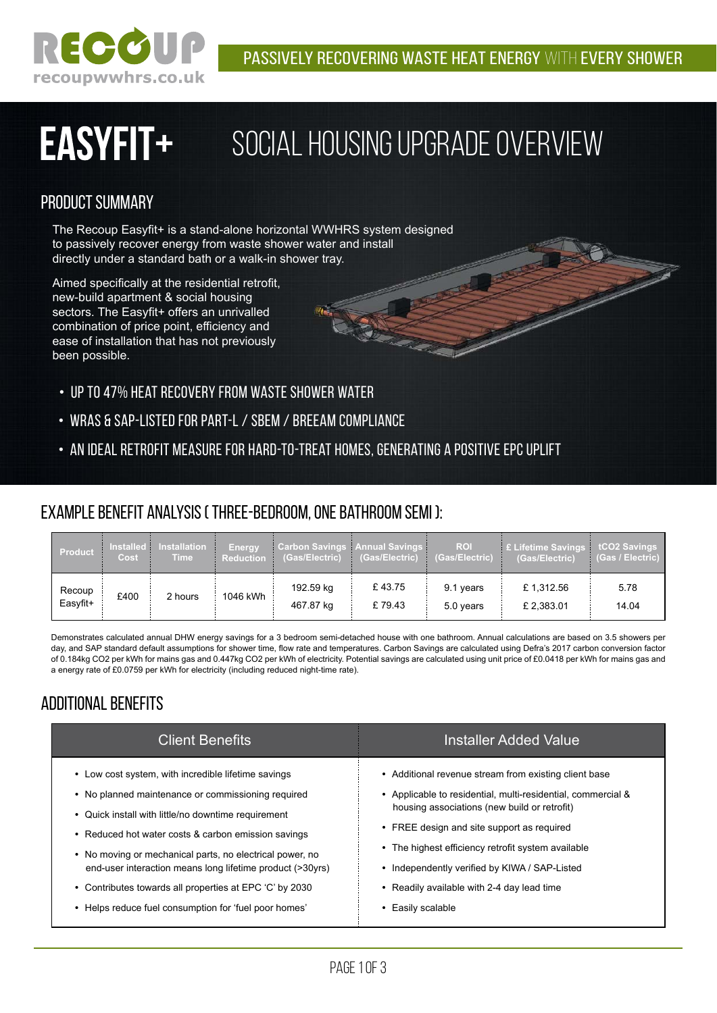

### **EASYFIT+** Social Housing Upgrade Overview

### Product Summary

The Recoup Easyfit+ is a stand-alone horizontal WWHRS system designed to passively recover energy from waste shower water and install directly under a standard bath or a walk-in shower tray.

Aimed specifically at the residential retrofit, new-build apartment & social housing sectors. The Easyfit+ offers an unrivalled combination of price point, efficiency and ease of installation that has not previously been possible.

- Up to 47% heat recovery from waste shower water
- WRAS & SAP-listed for Part-L / SBEM / BREEAM compliance
- An ideal retrofit measure for hard-to-treat homes, generating a positive EPC uplift

### Example Benefit Analysis ( Three-bedroom, One Bathroom Semi ):

| Product            | <b>Installed</b><br>Cost | Installation<br><b>Time</b> | <b>Energy</b><br>Reduction | <b>Carbon Savings Annual Savings</b><br>(Gas/Electric) | (Gas/Electric) (Gas/Electric) | <b>ROI</b>             | E Lifetime Savings tCO2 Savings<br>(Gas/Electric) | (Gas / Electric) |
|--------------------|--------------------------|-----------------------------|----------------------------|--------------------------------------------------------|-------------------------------|------------------------|---------------------------------------------------|------------------|
| Recoup<br>Easyfit+ | £400                     | 2 hours                     | 1046 kWh                   | 192.59 kg<br>467.87 kg                                 | £43.75<br>£79.43              | 9.1 years<br>5.0 years | £1,312.56<br>£ 2,383.01                           | 5.78<br>14.04    |

Demonstrates calculated annual DHW energy savings for a 3 bedroom semi-detached house with one bathroom. Annual calculations are based on 3.5 showers per day, and SAP standard default assumptions for shower time, flow rate and temperatures. Carbon Savings are calculated using Defra's 2017 carbon conversion factor of 0.184kg CO2 per kWh for mains gas and 0.447kg CO2 per kWh of electricity. Potential savings are calculated using unit price of £0.0418 per kWh for mains gas and a energy rate of £0.0759 per kWh for electricity (including reduced night-time rate).

### Additional benefits

| <b>Client Benefits</b>                                                                                                                                                                                                                                                                                                                           | Installer Added Value                                                                                                                                                                                                                                                                                                    |  |  |  |
|--------------------------------------------------------------------------------------------------------------------------------------------------------------------------------------------------------------------------------------------------------------------------------------------------------------------------------------------------|--------------------------------------------------------------------------------------------------------------------------------------------------------------------------------------------------------------------------------------------------------------------------------------------------------------------------|--|--|--|
| • Low cost system, with incredible lifetime savings<br>• No planned maintenance or commissioning required<br>• Quick install with little/no downtime requirement<br>• Reduced hot water costs & carbon emission savings<br>• No moving or mechanical parts, no electrical power, no<br>end-user interaction means long lifetime product (>30yrs) | • Additional revenue stream from existing client base<br>• Applicable to residential, multi-residential, commercial &<br>housing associations (new build or retrofit)<br>• FREE design and site support as required<br>• The highest efficiency retrofit system available<br>Independently verified by KIWA / SAP-Listed |  |  |  |
| • Contributes towards all properties at EPC 'C' by 2030<br>Helps reduce fuel consumption for 'fuel poor homes'<br>$\bullet$                                                                                                                                                                                                                      | • Readily available with 2-4 day lead time<br>Easily scalable                                                                                                                                                                                                                                                            |  |  |  |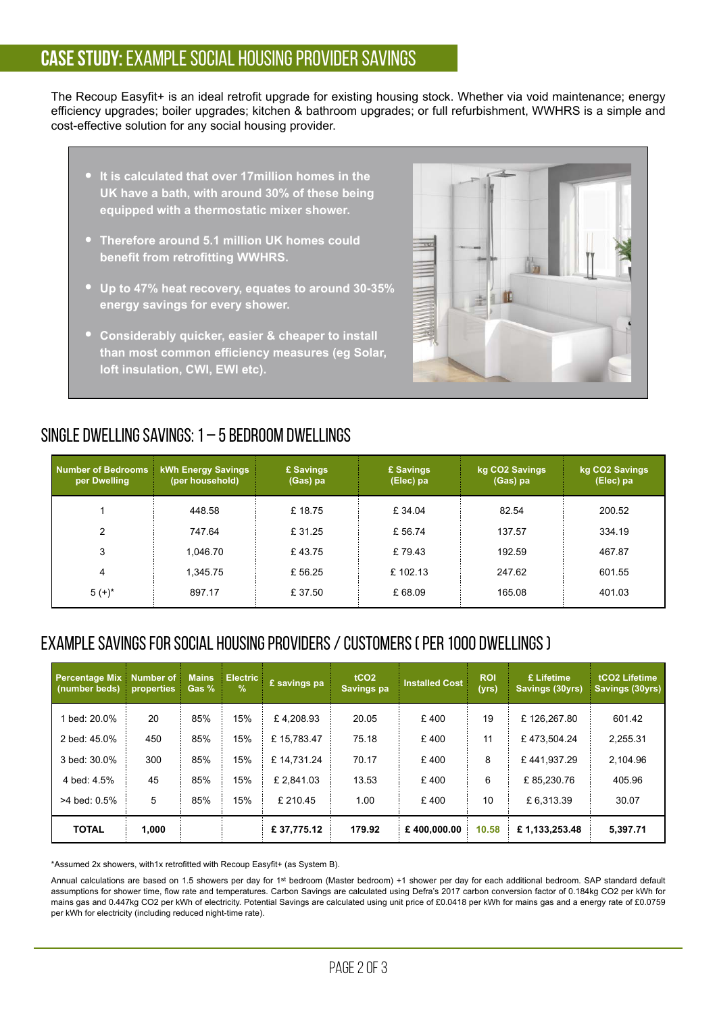### **Case Study:** Example Social Housing Provider Savings

The Recoup Easyfit+ is an ideal retrofit upgrade for existing housing stock. Whether via void maintenance; energy efficiency upgrades; boiler upgrades; kitchen & bathroom upgrades; or full refurbishment, WWHRS is a simple and cost-effective solution for any social housing provider.

- **It is calculated that over 17million homes in the UK have a bath, with around 30% of these being equipped with a thermostatic mixer shower.**
- **Therefore around 5.1 million UK homes could benefit from retrofitting WWHRS.**
- **Up to 47% heat recovery, equates to around 30-35% energy savings for every shower.**
- **Considerably quicker, easier & cheaper to install**  than most common efficiency measures (eg Solar, **loft insulation, CWI, EWI etc).**



### Single Dwelling Savings: 1 – 5 bedroom dwellings

| Number of Bedrooms kWh Energy Savings<br>per Dwelling | (per household) | £ Savings<br>(Gas) pa | £ Savings<br>(Elec) pa | kg CO2 Savings<br>(Gas) pa | kg CO2 Savings<br>(Elec) pa |
|-------------------------------------------------------|-----------------|-----------------------|------------------------|----------------------------|-----------------------------|
|                                                       | 448.58          | £18.75                | £ 34.04                | 82.54                      | 200.52                      |
| 2                                                     | 747.64          | £31.25                | £ 56.74                | 137.57                     | 334.19                      |
| 3                                                     | 1.046.70        | £43.75                | £79.43                 | 192.59                     | 467.87                      |
| 4                                                     | 1.345.75        | £56.25                | £102.13                | 247.62                     | 601.55                      |
| $5 (+)^*$                                             | 897.17          | £37.50                | £ 68.09                | 165.08                     | 401.03                      |

### Example Savings for Social Housing Providers / Customers ( per 1000 dwellings )

| <b>Percentage Mix</b><br>(number beds) | Number of<br>properties | <b>Mains</b><br>Gas % | <b>Electric</b><br>$\%$ | £ savings pa | tCO <sub>2</sub><br>Savings pa | <b>Installed Cost</b> | <b>ROI</b><br>(yrs) | £ Lifetime<br>Savings (30yrs) | tCO <sub>2</sub> Lifetime<br>Savings (30yrs) |
|----------------------------------------|-------------------------|-----------------------|-------------------------|--------------|--------------------------------|-----------------------|---------------------|-------------------------------|----------------------------------------------|
| 1 bed: 20.0%                           | 20                      | 85%                   | 15%                     | £4,208.93    | 20.05                          | £400                  | 19                  | £126.267.80                   | 601.42                                       |
| 2 bed: 45.0%                           | 450                     | 85%                   | 15%                     | £15.783.47   | 75.18                          | £400                  | 11                  | £473.504.24                   | 2.255.31                                     |
| 3 bed: 30.0%                           | 300                     | 85%                   | 15%                     | £14.731.24   | 70.17                          | £400                  | 8                   | £441.937.29                   | 2.104.96                                     |
| 4 bed: 4.5%                            | 45                      | 85%                   | 15%                     | £2.841.03    | 13.53                          | £400                  | 6                   | £85.230.76                    | 405.96                                       |
| $>4$ bed: $0.5\%$                      | 5                       | 85%                   | 15%                     | £ 210.45     | 1.00                           | £400                  | 10                  | £6.313.39                     | 30.07                                        |
| <b>TOTAL</b>                           | 1,000                   |                       |                         | £37,775.12   | 179.92                         | £400,000.00           | 10.58               | £1,133,253.48                 | 5,397.71                                     |

\*Assumed 2x showers, with1x retrofitted with Recoup Easyfit+ (as System B).

Annual calculations are based on 1.5 showers per day for 1st bedroom (Master bedroom) +1 shower per day for each additional bedroom. SAP standard default assumptions for shower time, flow rate and temperatures. Carbon Savings are calculated using Defra's 2017 carbon conversion factor of 0.184kg CO2 per kWh for mains gas and 0.447kg CO2 per kWh of electricity. Potential Savings are calculated using unit price of £0.0418 per kWh for mains gas and a energy rate of £0.0759 per kWh for electricity (including reduced night-time rate).